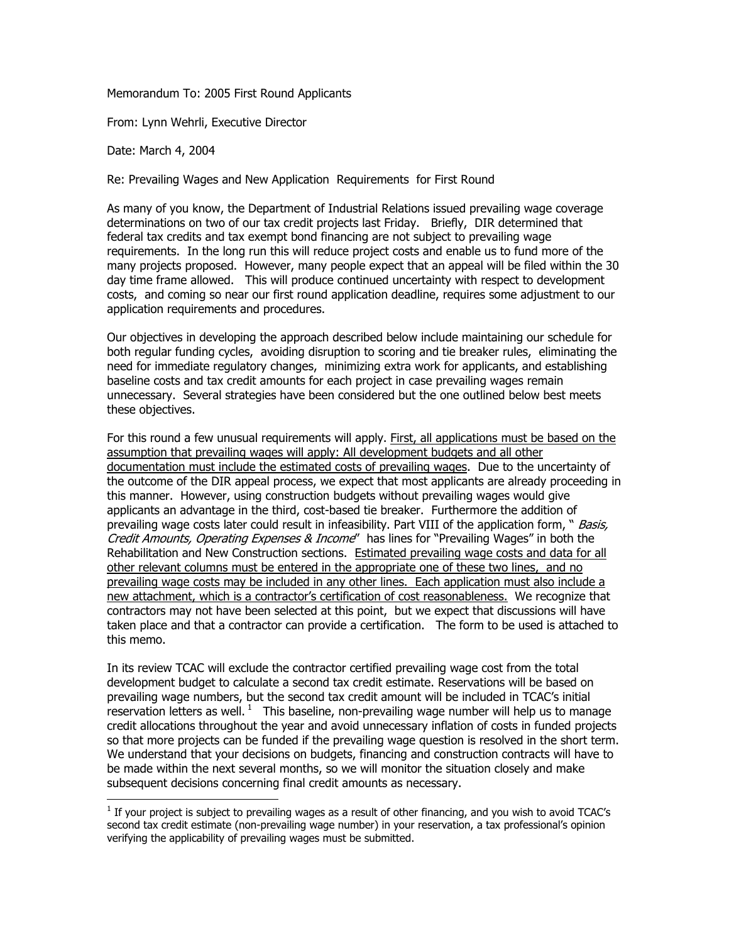Memorandum To: 2005 First Round Applicants

From: Lynn Wehrli, Executive Director

Date: March 4, 2004

-

Re: Prevailing Wages and New Application Requirements for First Round

As many of you know, the Department of Industrial Relations issued prevailing wage coverage determinations on two of our tax credit projects last Friday. Briefly, DIR determined that federal tax credits and tax exempt bond financing are not subject to prevailing wage requirements. In the long run this will reduce project costs and enable us to fund more of the many projects proposed. However, many people expect that an appeal will be filed within the 30 day time frame allowed. This will produce continued uncertainty with respect to development costs, and coming so near our first round application deadline, requires some adjustment to our application requirements and procedures.

Our objectives in developing the approach described below include maintaining our schedule for both regular funding cycles, avoiding disruption to scoring and tie breaker rules, eliminating the need for immediate regulatory changes, minimizing extra work for applicants, and establishing baseline costs and tax credit amounts for each project in case prevailing wages remain unnecessary. Several strategies have been considered but the one outlined below best meets these objectives.

For this round a few unusual requirements will apply. First, all applications must be based on the assumption that prevailing wages will apply: All development budgets and all other documentation must include the estimated costs of prevailing wages. Due to the uncertainty of the outcome of the DIR appeal process, we expect that most applicants are already proceeding in this manner. However, using construction budgets without prevailing wages would give applicants an advantage in the third, cost-based tie breaker. Furthermore the addition of prevailing wage costs later could result in infeasibility. Part VIII of the application form, " *Basis,* Credit Amounts, Operating Expenses & Income" has lines for "Prevailing Wages" in both the Rehabilitation and New Construction sections. Estimated prevailing wage costs and data for all other relevant columns must be entered in the appropriate one of these two lines, and no prevailing wage costs may be included in any other lines. Each application must also include a new attachment, which is a contractor's certification of cost reasonableness. We recognize that contractors may not have been selected at this point, but we expect that discussions will have taken place and that a contractor can provide a certification. The form to be used is attached to this memo.

In its review TCAC will exclude the contractor certified prevailing wage cost from the total development budget to calculate a second tax credit estimate. Reservations will be based on prevailing wage numbers, but the second tax credit amount will be included in TCAC's initial reservation letters as well.  $1$  This baseline, non-prevailing wage number will help us to manage credit allocations throughout the year and avoid unnecessary inflation of costs in funded projects so that more projects can be funded if the prevailing wage question is resolved in the short term. We understand that your decisions on budgets, financing and construction contracts will have to be made within the next several months, so we will monitor the situation closely and make subsequent decisions concerning final credit amounts as necessary.

<span id="page-0-0"></span> $<sup>1</sup>$  If your project is subject to prevailing wages as a result of other financing, and you wish to avoid TCAC's</sup> second tax credit estimate (non-prevailing wage number) in your reservation, a tax professional's opinion verifying the applicability of prevailing wages must be submitted.